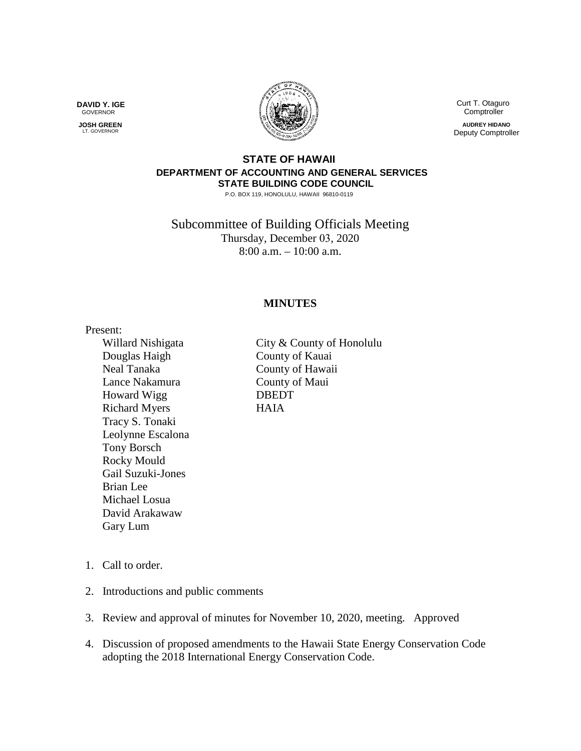**DAVID Y. IGE** GOVERNOR

 **JOSH GREEN LT. GOVERNOR** 



 Curt T. Otaguro **Comptroller** 

**AUDREY HIDANO** Deputy Comptroller

## **STATE OF HAWAII DEPARTMENT OF ACCOUNTING AND GENERAL SERVICES STATE BUILDING CODE COUNCIL**

P.O. BOX 119, HONOLULU, HAWAII 96810-0119

Subcommittee of Building Officials Meeting Thursday, December 03, 2020 8:00 a.m. – 10:00 a.m.

## **MINUTES**

Present: Douglas Haigh County of Kauai Neal Tanaka County of Hawaii Lance Nakamura County of Maui Howard Wigg DBEDT Richard Myers HAIA Tracy S. Tonaki Leolynne Escalona Tony Borsch Rocky Mould Gail Suzuki-Jones Brian Lee Michael Losua David Arakawaw Gary Lum

Willard Nishigata City & County of Honolulu

- 1. Call to order.
- 2. Introductions and public comments
- 3. Review and approval of minutes for November 10, 2020, meeting. Approved
- 4. Discussion of proposed amendments to the Hawaii State Energy Conservation Code adopting the 2018 International Energy Conservation Code.